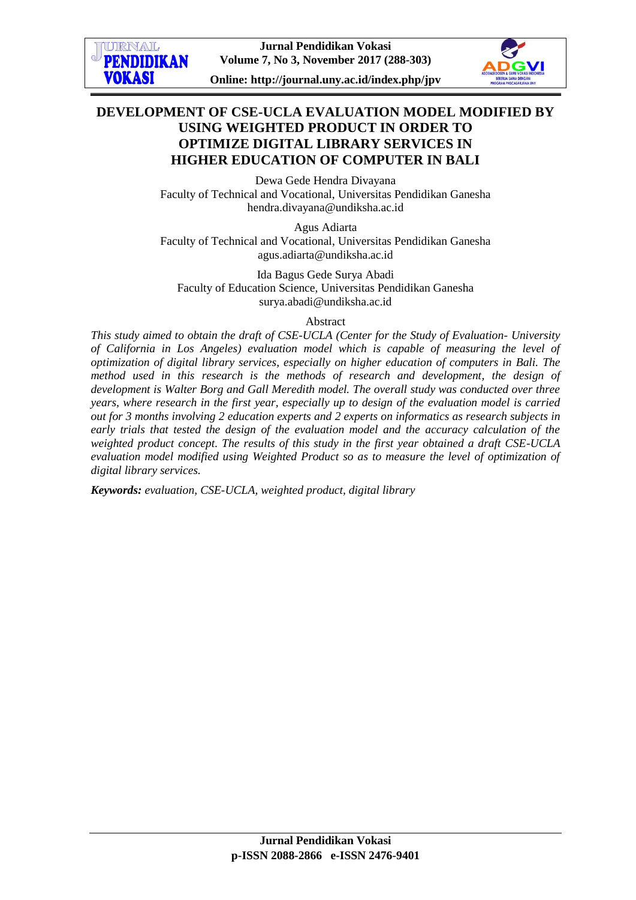

# **DEVELOPMENT OF CSE-UCLA EVALUATION MODEL MODIFIED BY USING WEIGHTED PRODUCT IN ORDER TO OPTIMIZE DIGITAL LIBRARY SERVICES IN HIGHER EDUCATION OF COMPUTER IN BALI**

Dewa Gede Hendra Divayana Faculty of Technical and Vocational, Universitas Pendidikan Ganesha [hendra.divayana@undiksha.ac.id](mailto:hendra.divayana@undiksha.ac.id)

Agus Adiarta Faculty of Technical and Vocational, Universitas Pendidikan Ganesha [agus.adiarta@undiksha.ac.id](mailto:hendra.divayana@undiksha.ac.id)

Ida Bagus Gede Surya Abadi Faculty of Education Science, Universitas Pendidikan Ganesha [surya.abadi@undiksha.ac.id](mailto:surya.abadi@undiksha.ac.id)

#### Abstract

*This study aimed to obtain the draft of CSE-UCLA (Center for the Study of Evaluation- University of California in Los Angeles) evaluation model which is capable of measuring the level of optimization of digital library services, especially on higher education of computers in Bali. The method used in this research is the methods of research and development, the design of development is Walter Borg and Gall Meredith model. The overall study was conducted over three years, where research in the first year, especially up to design of the evaluation model is carried out for 3 months involving 2 education experts and 2 experts on informatics as research subjects in early trials that tested the design of the evaluation model and the accuracy calculation of the weighted product concept. The results of this study in the first year obtained a draft CSE-UCLA evaluation model modified using Weighted Product so as to measure the level of optimization of digital library services.*

*Keywords: evaluation, CSE-UCLA, weighted product, digital library*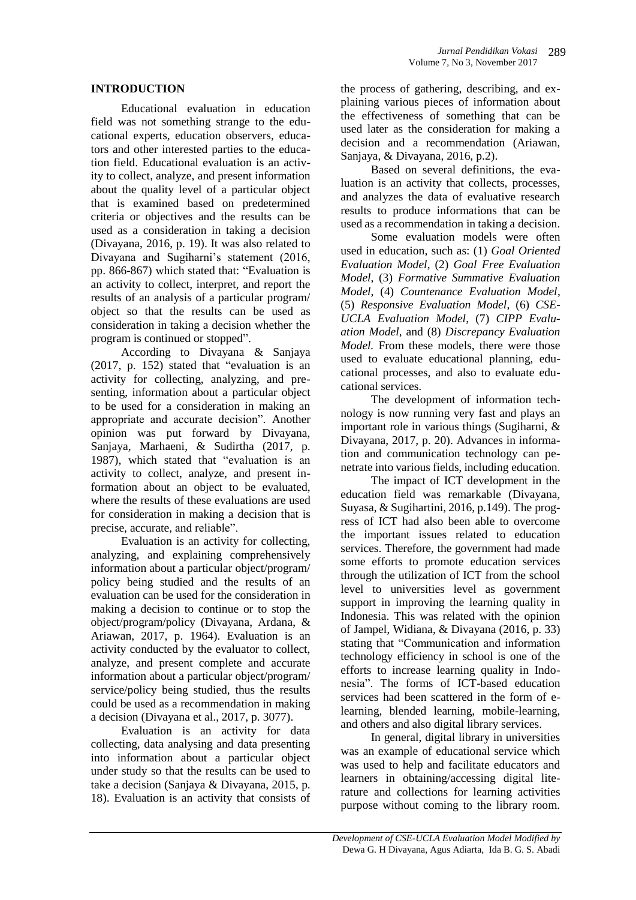## **INTRODUCTION**

Educational evaluation in education field was not something strange to the educational experts, education observers, educators and other interested parties to the education field. Educational evaluation is an activity to collect, analyze, and present information about the quality level of a particular object that is examined based on predetermined criteria or objectives and the results can be used as a consideration in taking a decision (Divayana, 2016, p. 19). It was also related to Divayana and Sugiharni's statement (2016, pp. 866-867) which stated that: "Evaluation is an activity to collect, interpret, and report the results of an analysis of a particular program/ object so that the results can be used as consideration in taking a decision whether the program is continued or stopped".

According to Divayana & Sanjaya (2017, p. 152) stated that "evaluation is an activity for collecting, analyzing, and presenting, information about a particular object to be used for a consideration in making an appropriate and accurate decision". Another opinion was put forward by Divayana, Sanjaya, Marhaeni, & Sudirtha (2017, p. 1987), which stated that "evaluation is an activity to collect, analyze, and present information about an object to be evaluated, where the results of these evaluations are used for consideration in making a decision that is precise, accurate, and reliable".

Evaluation is an activity for collecting, analyzing, and explaining comprehensively information about a particular object/program/ policy being studied and the results of an evaluation can be used for the consideration in making a decision to continue or to stop the object/program/policy (Divayana, Ardana, & Ariawan, 2017, p. 1964). Evaluation is an activity conducted by the evaluator to collect, analyze, and present complete and accurate information about a particular object/program/ service/policy being studied, thus the results could be used as a recommendation in making a decision (Divayana et al., 2017, p. 3077).

Evaluation is an activity for data collecting, data analysing and data presenting into information about a particular object under study so that the results can be used to take a decision (Sanjaya & Divayana, 2015, p. 18). Evaluation is an activity that consists of

the process of gathering, describing, and explaining various pieces of information about the effectiveness of something that can be used later as the consideration for making a decision and a recommendation (Ariawan, Sanjaya, & Divayana, 2016, p.2).

Based on several definitions, the evaluation is an activity that collects, processes, and analyzes the data of evaluative research results to produce informations that can be used as a recommendation in taking a decision.

Some evaluation models were often used in education, such as: (1) *Goal Oriented Evaluation Model*, (2) *Goal Free Evaluation Model*, (3) *Formative Summative Evaluation Model*, (4) *Countenance Evaluation Model*, (5) *Responsive Evaluation Model*, (6) *CSE-UCLA Evaluation Model*, (7) *CIPP Evaluation Model*, and (8) *Discrepancy Evaluation Model.* From these models, there were those used to evaluate educational planning, educational processes, and also to evaluate educational services.

The development of information technology is now running very fast and plays an important role in various things (Sugiharni, & Divayana, 2017, p. 20). Advances in information and communication technology can penetrate into various fields, including education.

The impact of ICT development in the education field was remarkable (Divayana, Suyasa, & Sugihartini, 2016, p.149). The progress of ICT had also been able to overcome the important issues related to education services. Therefore, the government had made some efforts to promote education services through the utilization of ICT from the school level to universities level as government support in improving the learning quality in Indonesia. This was related with the opinion of Jampel, Widiana, & Divayana (2016, p. 33) stating that "Communication and information technology efficiency in school is one of the efforts to increase learning quality in Indonesia". The forms of ICT-based education services had been scattered in the form of elearning, blended learning, mobile-learning, and others and also digital library services.

In general, digital library in universities was an example of educational service which was used to help and facilitate educators and learners in obtaining/accessing digital literature and collections for learning activities purpose without coming to the library room.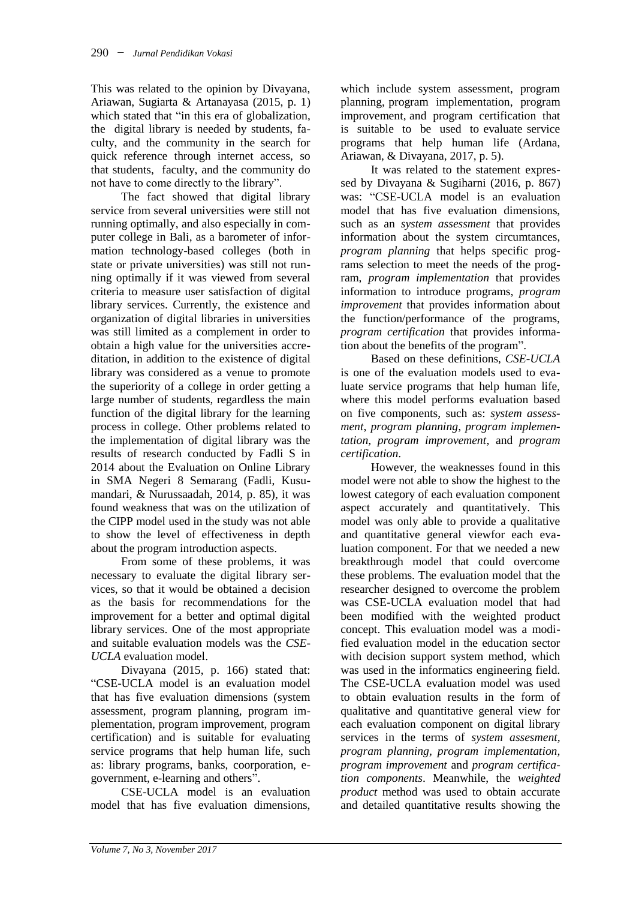This was related to the opinion by Divayana, Ariawan, Sugiarta & Artanayasa (2015, p. 1) which stated that "in this era of globalization, the digital library is needed by students, faculty, and the community in the search for quick reference through internet access, so that students, faculty, and the community do not have to come directly to the library".

The fact showed that digital library service from several universities were still not running optimally, and also especially in computer college in Bali, as a barometer of information technology-based colleges (both in state or private universities) was still not running optimally if it was viewed from several criteria to measure user satisfaction of digital library services. Currently, the existence and organization of digital libraries in universities was still limited as a complement in order to obtain a high value for the universities accreditation, in addition to the existence of digital library was considered as a venue to promote the superiority of a college in order getting a large number of students, regardless the main function of the digital library for the learning process in college. Other problems related to the implementation of digital library was the results of research conducted by Fadli S in 2014 about the Evaluation on Online Library in SMA Negeri 8 Semarang (Fadli, Kusumandari, & Nurussaadah, 2014, p. 85), it was found weakness that was on the utilization of the CIPP model used in the study was not able to show the level of effectiveness in depth about the program introduction aspects.

From some of these problems, it was necessary to evaluate the digital library services, so that it would be obtained a decision as the basis for recommendations for the improvement for a better and optimal digital library services. One of the most appropriate and suitable evaluation models was the *CSE-UCLA* evaluation model.

Divayana (2015, p. 166) stated that: "CSE-UCLA model is an evaluation model that has five evaluation dimensions (system assessment, program planning, program implementation, program improvement, program certification) and is suitable for evaluating service programs that help human life, such as: library programs, banks, coorporation, egovernment, e-learning and others".

CSE-UCLA model is an evaluation model that has five evaluation dimensions,

which include system assessment, program planning, program implementation, program improvement, and program certification that is suitable to be used to evaluate service programs that help human life (Ardana, Ariawan, & Divayana, 2017, p. 5).

It was related to the statement expressed by Divayana & Sugiharni (2016, p. 867) was: "CSE-UCLA model is an evaluation model that has five evaluation dimensions, such as an *system assessment* that provides information about the system circumtances, *program planning* that helps specific programs selection to meet the needs of the program, *program implementation* that provides information to introduce programs, *program improvement* that provides information about the function/performance of the programs, *program certification* that provides information about the benefits of the program".

Based on these definitions, *CSE-UCLA* is one of the evaluation models used to evaluate service programs that help human life, where this model performs evaluation based on five components, such as: *system assessment*, *program planning*, *program implementation*, *program improvement*, and *program certification*.

However, the weaknesses found in this model were not able to show the highest to the lowest category of each evaluation component aspect accurately and quantitatively. This model was only able to provide a qualitative and quantitative general viewfor each evaluation component. For that we needed a new breakthrough model that could overcome these problems. The evaluation model that the researcher designed to overcome the problem was CSE-UCLA evaluation model that had been modified with the weighted product concept. This evaluation model was a modified evaluation model in the education sector with decision support system method, which was used in the informatics engineering field. The CSE-UCLA evaluation model was used to obtain evaluation results in the form of qualitative and quantitative general view for each evaluation component on digital library services in the terms of *system assesment, program planning, program implementation, program improvement* and *program certification components*. Meanwhile, the *weighted product* method was used to obtain accurate and detailed quantitative results showing the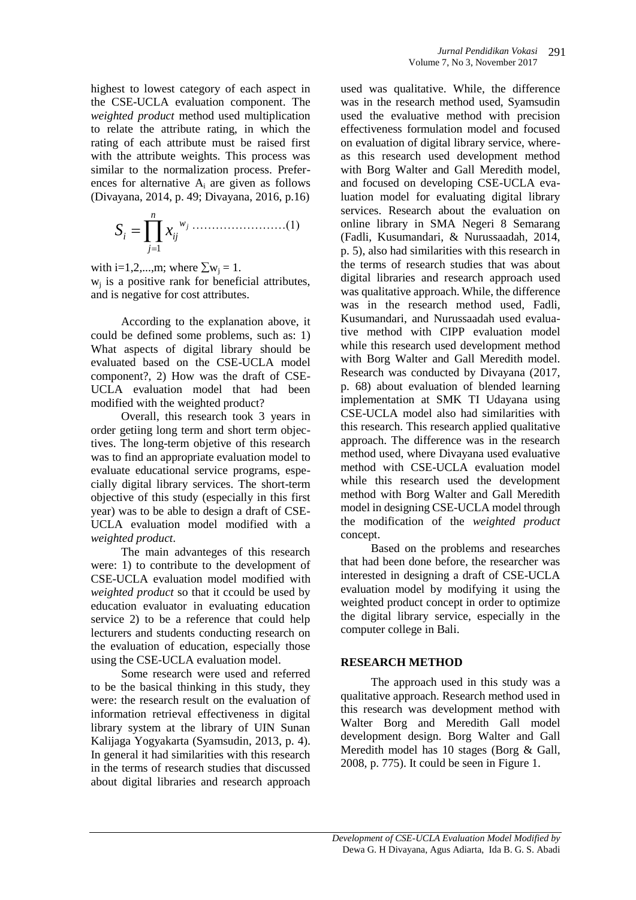highest to lowest category of each aspect in the CSE-UCLA evaluation component. The *weighted product* method used multiplication to relate the attribute rating, in which the rating of each attribute must be raised first with the attribute weights. This process was similar to the normalization process. Preferences for alternative  $A_i$  are given as follows (Divayana, 2014, p. 49; Divayana, 2016, p.16)

……………………(1) *n j w i ij j S x* 1

with i=1,2,...,m; where  $\Sigma w_i = 1$ . wj is a positive rank for beneficial attributes, and is negative for cost attributes.

According to the explanation above, it could be defined some problems, such as: 1) What aspects of digital library should be evaluated based on the CSE-UCLA model component?, 2) How was the draft of CSE-UCLA evaluation model that had been modified with the weighted product?

Overall, this research took 3 years in order getiing long term and short term objectives. The long-term objetive of this research was to find an appropriate evaluation model to evaluate educational service programs, especially digital library services. The short-term objective of this study (especially in this first year) was to be able to design a draft of CSE-UCLA evaluation model modified with a *weighted product*.

The main advanteges of this research were: 1) to contribute to the development of CSE-UCLA evaluation model modified with *weighted product* so that it ccould be used by education evaluator in evaluating education service 2) to be a reference that could help lecturers and students conducting research on the evaluation of education, especially those using the CSE-UCLA evaluation model.

Some research were used and referred to be the basical thinking in this study, they were: the research result on the evaluation of information retrieval effectiveness in digital library system at the library of UIN Sunan Kalijaga Yogyakarta (Syamsudin, 2013, p. 4). In general it had similarities with this research in the terms of research studies that discussed about digital libraries and research approach

used was qualitative. While, the difference was in the research method used, Syamsudin used the evaluative method with precision effectiveness formulation model and focused on evaluation of digital library service, whereas this research used development method with Borg Walter and Gall Meredith model, and focused on developing CSE-UCLA evaluation model for evaluating digital library services. Research about the evaluation on online library in SMA Negeri 8 Semarang (Fadli, Kusumandari, & Nurussaadah, 2014, p. 5), also had similarities with this research in the terms of research studies that was about digital libraries and research approach used was qualitative approach. While, the difference was in the research method used, Fadli, Kusumandari, and Nurussaadah used evaluative method with CIPP evaluation model while this research used development method with Borg Walter and Gall Meredith model. Research was conducted by Divayana (2017, p. 68) about evaluation of blended learning implementation at SMK TI Udayana using CSE-UCLA model also had similarities with this research. This research applied qualitative approach. The difference was in the research method used, where Divayana used evaluative method with CSE-UCLA evaluation model while this research used the development method with Borg Walter and Gall Meredith model in designing CSE-UCLA model through the modification of the *weighted product* concept.

Based on the problems and researches that had been done before, the researcher was interested in designing a draft of CSE-UCLA evaluation model by modifying it using the weighted product concept in order to optimize the digital library service, especially in the computer college in Bali.

## **RESEARCH METHOD**

The approach used in this study was a qualitative approach. Research method used in this research was development method with Walter Borg and Meredith Gall model development design. Borg Walter and Gall Meredith model has 10 stages (Borg & Gall, 2008, p. 775). It could be seen in Figure 1.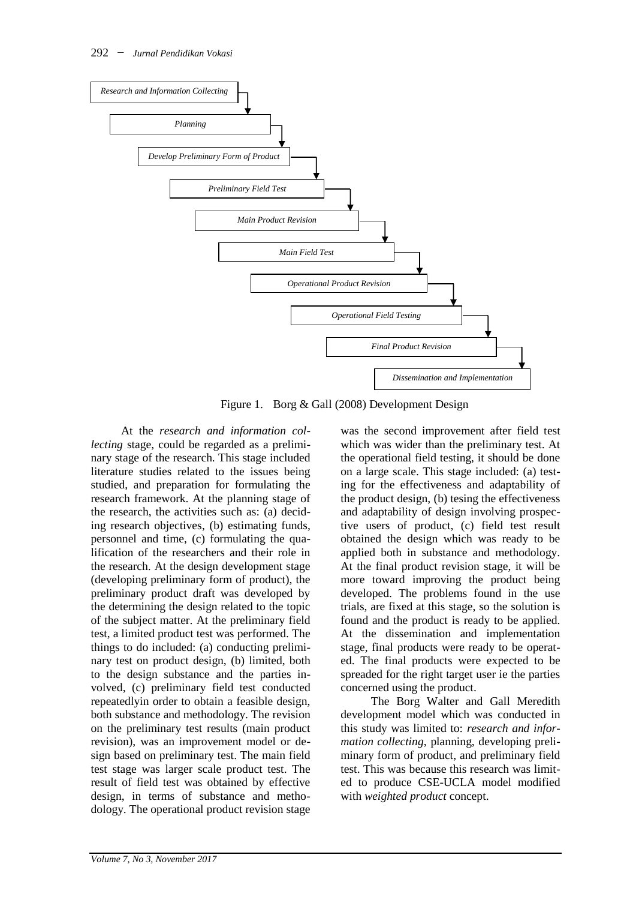

Figure 1. Borg & Gall (2008) Development Design

At the *research and information collecting* stage, could be regarded as a preliminary stage of the research. This stage included literature studies related to the issues being studied, and preparation for formulating the research framework. At the planning stage of the research, the activities such as: (a) deciding research objectives, (b) estimating funds, personnel and time, (c) formulating the qualification of the researchers and their role in the research. At the design development stage (developing preliminary form of product), the preliminary product draft was developed by the determining the design related to the topic of the subject matter. At the preliminary field test, a limited product test was performed. The things to do included: (a) conducting preliminary test on product design, (b) limited, both to the design substance and the parties involved, (c) preliminary field test conducted repeatedlyin order to obtain a feasible design, both substance and methodology. The revision on the preliminary test results (main product revision), was an improvement model or design based on preliminary test. The main field test stage was larger scale product test. The result of field test was obtained by effective design, in terms of substance and methodology. The operational product revision stage

was the second improvement after field test which was wider than the preliminary test. At the operational field testing, it should be done on a large scale. This stage included: (a) testing for the effectiveness and adaptability of the product design, (b) tesing the effectiveness and adaptability of design involving prospective users of product, (c) field test result obtained the design which was ready to be applied both in substance and methodology. At the final product revision stage, it will be more toward improving the product being developed. The problems found in the use trials, are fixed at this stage, so the solution is found and the product is ready to be applied. At the dissemination and implementation stage, final products were ready to be operated. The final products were expected to be spreaded for the right target user ie the parties concerned using the product.

The Borg Walter and Gall Meredith development model which was conducted in this study was limited to: *research and information collecting*, planning, developing preliminary form of product, and preliminary field test. This was because this research was limited to produce CSE-UCLA model modified with *weighted product* concept.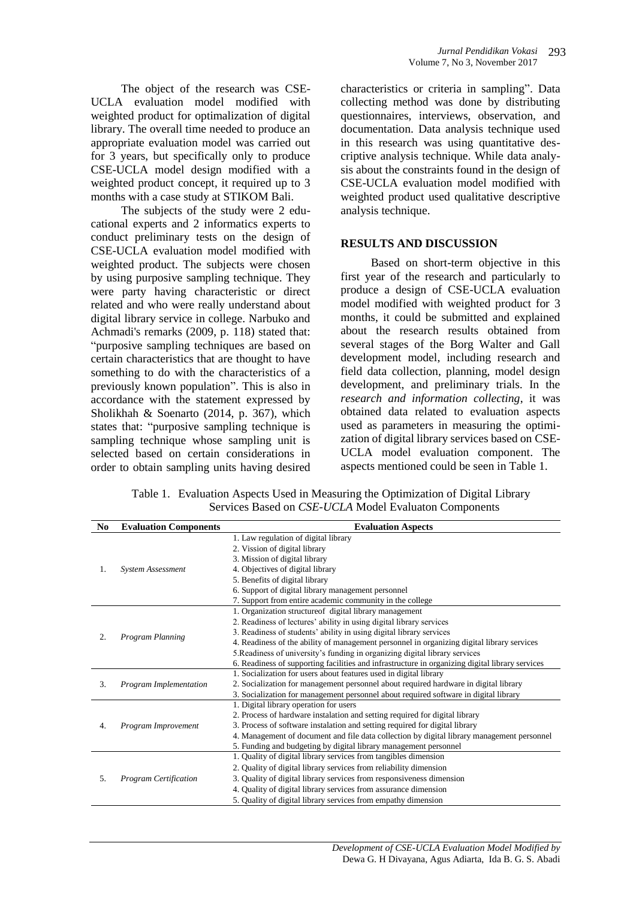The object of the research was CSE-UCLA evaluation model modified with weighted product for optimalization of digital library. The overall time needed to produce an appropriate evaluation model was carried out for 3 years, but specifically only to produce CSE-UCLA model design modified with a weighted product concept, it required up to 3 months with a case study at STIKOM Bali.

The subjects of the study were 2 educational experts and 2 informatics experts to conduct preliminary tests on the design of CSE-UCLA evaluation model modified with weighted product. The subjects were chosen by using purposive sampling technique. They were party having characteristic or direct related and who were really understand about digital library service in college. Narbuko and Achmadi's remarks (2009, p. 118) stated that: "purposive sampling techniques are based on certain characteristics that are thought to have something to do with the characteristics of a previously known population". This is also in accordance with the statement expressed by Sholikhah & Soenarto (2014, p. 367), which states that: "purposive sampling technique is sampling technique whose sampling unit is selected based on certain considerations in order to obtain sampling units having desired characteristics or criteria in sampling". Data collecting method was done by distributing questionnaires, interviews, observation, and documentation. Data analysis technique used in this research was using quantitative descriptive analysis technique. While data analysis about the constraints found in the design of CSE-UCLA evaluation model modified with weighted product used qualitative descriptive analysis technique.

## **RESULTS AND DISCUSSION**

Based on short-term objective in this first year of the research and particularly to produce a design of CSE-UCLA evaluation model modified with weighted product for 3 months, it could be submitted and explained about the research results obtained from several stages of the Borg Walter and Gall development model, including research and field data collection, planning, model design development, and preliminary trials. In the *research and information collecting*, it was obtained data related to evaluation aspects used as parameters in measuring the optimization of digital library services based on CSE-UCLA model evaluation component. The aspects mentioned could be seen in Table 1.

Table 1. Evaluation Aspects Used in Measuring the Optimization of Digital Library Services Based on *CSE-UCLA* Model Evaluaton Components

| N <sub>0</sub>   | <b>Evaluation Components</b> | <b>Evaluation Aspects</b>                                                                       |
|------------------|------------------------------|-------------------------------------------------------------------------------------------------|
|                  |                              | 1. Law regulation of digital library                                                            |
|                  |                              | 2. Vission of digital library                                                                   |
|                  |                              | 3. Mission of digital library                                                                   |
| 1.               | <b>System Assessment</b>     | 4. Objectives of digital library                                                                |
|                  |                              | 5. Benefits of digital library                                                                  |
|                  |                              | 6. Support of digital library management personnel                                              |
|                  |                              | 7. Support from entire academic community in the college                                        |
|                  |                              | 1. Organization structure of digital library management                                         |
|                  |                              | 2. Readiness of lectures' ability in using digital library services                             |
| $\overline{2}$ . | Program Planning             | 3. Readiness of students' ability in using digital library services                             |
|                  |                              | 4. Readiness of the ability of management personnel in organizing digital library services      |
|                  |                              | 5. Readiness of university's funding in organizing digital library services                     |
|                  |                              | 6. Readiness of supporting facilities and infrastructure in organizing digital library services |
|                  |                              | 1. Socialization for users about features used in digital library                               |
| 3.               | Program Implementation       | 2. Socialization for management personnel about required hardware in digital library            |
|                  |                              | 3. Socialization for management personnel about required software in digital library            |
|                  |                              | 1. Digital library operation for users                                                          |
|                  |                              | 2. Process of hardware instalation and setting required for digital library                     |
| $\overline{4}$ . | Program Improvement          | 3. Process of software instalation and setting required for digital library                     |
|                  |                              | 4. Management of document and file data collection by digital library management personnel      |
|                  |                              | 5. Funding and budgeting by digital library management personnel                                |
|                  |                              | 1. Quality of digital library services from tangibles dimension                                 |
|                  |                              | 2. Quality of digital library services from reliability dimension                               |
| 5.               | <b>Program Certification</b> | 3. Quality of digital library services from responsiveness dimension                            |
|                  |                              | 4. Quality of digital library services from assurance dimension                                 |
|                  |                              | 5. Quality of digital library services from empathy dimension                                   |
|                  |                              |                                                                                                 |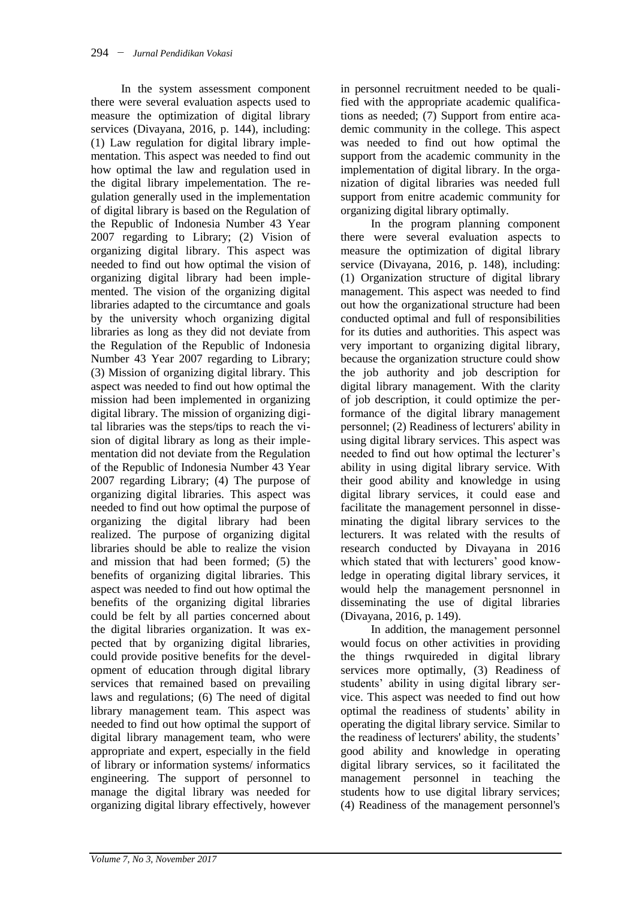In the system assessment component there were several evaluation aspects used to measure the optimization of digital library services (Divayana, 2016, p. 144), including: (1) Law regulation for digital library implementation. This aspect was needed to find out how optimal the law and regulation used in the digital library impelementation. The regulation generally used in the implementation of digital library is based on the Regulation of the Republic of Indonesia Number 43 Year 2007 regarding to Library; (2) Vision of organizing digital library. This aspect was needed to find out how optimal the vision of organizing digital library had been implemented. The vision of the organizing digital libraries adapted to the circumtance and goals by the university whoch organizing digital libraries as long as they did not deviate from the Regulation of the Republic of Indonesia Number 43 Year 2007 regarding to Library; (3) Mission of organizing digital library. This aspect was needed to find out how optimal the mission had been implemented in organizing digital library. The mission of organizing digital libraries was the steps/tips to reach the vision of digital library as long as their implementation did not deviate from the Regulation of the Republic of Indonesia Number 43 Year 2007 regarding Library; (4) The purpose of organizing digital libraries. This aspect was needed to find out how optimal the purpose of organizing the digital library had been realized. The purpose of organizing digital libraries should be able to realize the vision and mission that had been formed; (5) the benefits of organizing digital libraries. This aspect was needed to find out how optimal the benefits of the organizing digital libraries could be felt by all parties concerned about the digital libraries organization. It was expected that by organizing digital libraries, could provide positive benefits for the development of education through digital library services that remained based on prevailing laws and regulations; (6) The need of digital library management team. This aspect was needed to find out how optimal the support of digital library management team, who were appropriate and expert, especially in the field of library or information systems/ informatics engineering. The support of personnel to manage the digital library was needed for organizing digital library effectively, however

in personnel recruitment needed to be qualified with the appropriate academic qualifications as needed; (7) Support from entire academic community in the college. This aspect was needed to find out how optimal the support from the academic community in the implementation of digital library. In the organization of digital libraries was needed full support from enitre academic community for organizing digital library optimally.

In the program planning component there were several evaluation aspects to measure the optimization of digital library service (Divayana, 2016, p. 148), including: (1) Organization structure of digital library management. This aspect was needed to find out how the organizational structure had been conducted optimal and full of responsibilities for its duties and authorities. This aspect was very important to organizing digital library, because the organization structure could show the job authority and job description for digital library management. With the clarity of job description, it could optimize the performance of the digital library management personnel; (2) Readiness of lecturers' ability in using digital library services. This aspect was needed to find out how optimal the lecturer's ability in using digital library service. With their good ability and knowledge in using digital library services, it could ease and facilitate the management personnel in disseminating the digital library services to the lecturers. It was related with the results of research conducted by Divayana in 2016 which stated that with lecturers' good knowledge in operating digital library services, it would help the management persnonnel in disseminating the use of digital libraries (Divayana, 2016, p. 149).

In addition, the management personnel would focus on other activities in providing the things rwquireded in digital library services more optimally, (3) Readiness of students' ability in using digital library service. This aspect was needed to find out how optimal the readiness of students' ability in operating the digital library service. Similar to the readiness of lecturers' ability, the students' good ability and knowledge in operating digital library services, so it facilitated the management personnel in teaching the students how to use digital library services; (4) Readiness of the management personnel's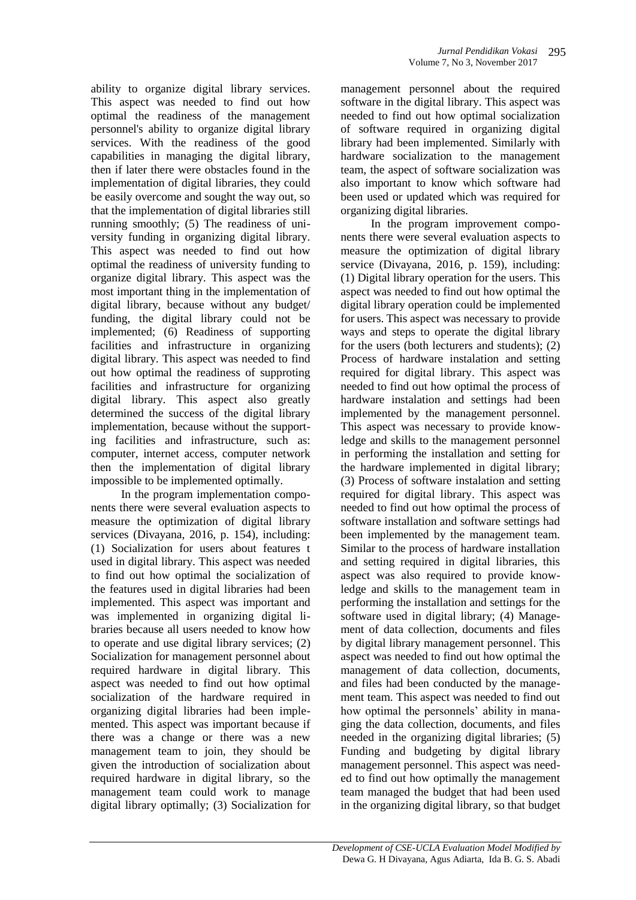ability to organize digital library services. This aspect was needed to find out how optimal the readiness of the management personnel's ability to organize digital library services. With the readiness of the good capabilities in managing the digital library, then if later there were obstacles found in the implementation of digital libraries, they could be easily overcome and sought the way out, so that the implementation of digital libraries still running smoothly; (5) The readiness of university funding in organizing digital library. This aspect was needed to find out how optimal the readiness of university funding to organize digital library. This aspect was the most important thing in the implementation of digital library, because without any budget/ funding, the digital library could not be implemented; (6) Readiness of supporting facilities and infrastructure in organizing digital library. This aspect was needed to find out how optimal the readiness of supproting facilities and infrastructure for organizing digital library. This aspect also greatly determined the success of the digital library implementation, because without the supporting facilities and infrastructure, such as: computer, internet access, computer network then the implementation of digital library impossible to be implemented optimally.

In the program implementation components there were several evaluation aspects to measure the optimization of digital library services (Divayana, 2016, p. 154), including: (1) Socialization for users about features t used in digital library. This aspect was needed to find out how optimal the socialization of the features used in digital libraries had been implemented. This aspect was important and was implemented in organizing digital libraries because all users needed to know how to operate and use digital library services; (2) Socialization for management personnel about required hardware in digital library. This aspect was needed to find out how optimal socialization of the hardware required in organizing digital libraries had been implemented. This aspect was important because if there was a change or there was a new management team to join, they should be given the introduction of socialization about required hardware in digital library, so the management team could work to manage digital library optimally; (3) Socialization for

management personnel about the required software in the digital library. This aspect was needed to find out how optimal socialization of software required in organizing digital library had been implemented. Similarly with hardware socialization to the management team, the aspect of software socialization was also important to know which software had been used or updated which was required for organizing digital libraries.

In the program improvement components there were several evaluation aspects to measure the optimization of digital library service (Divayana, 2016, p. 159), including: (1) Digital library operation for the users. This aspect was needed to find out how optimal the digital library operation could be implemented for users. This aspect was necessary to provide ways and steps to operate the digital library for the users (both lecturers and students); (2) Process of hardware instalation and setting required for digital library. This aspect was needed to find out how optimal the process of hardware instalation and settings had been implemented by the management personnel. This aspect was necessary to provide knowledge and skills to the management personnel in performing the installation and setting for the hardware implemented in digital library; (3) Process of software instalation and setting required for digital library. This aspect was needed to find out how optimal the process of software installation and software settings had been implemented by the management team. Similar to the process of hardware installation and setting required in digital libraries, this aspect was also required to provide knowledge and skills to the management team in performing the installation and settings for the software used in digital library; (4) Management of data collection, documents and files by digital library management personnel. This aspect was needed to find out how optimal the management of data collection, documents, and files had been conducted by the management team. This aspect was needed to find out how optimal the personnels' ability in managing the data collection, documents, and files needed in the organizing digital libraries; (5) Funding and budgeting by digital library management personnel. This aspect was needed to find out how optimally the management team managed the budget that had been used in the organizing digital library, so that budget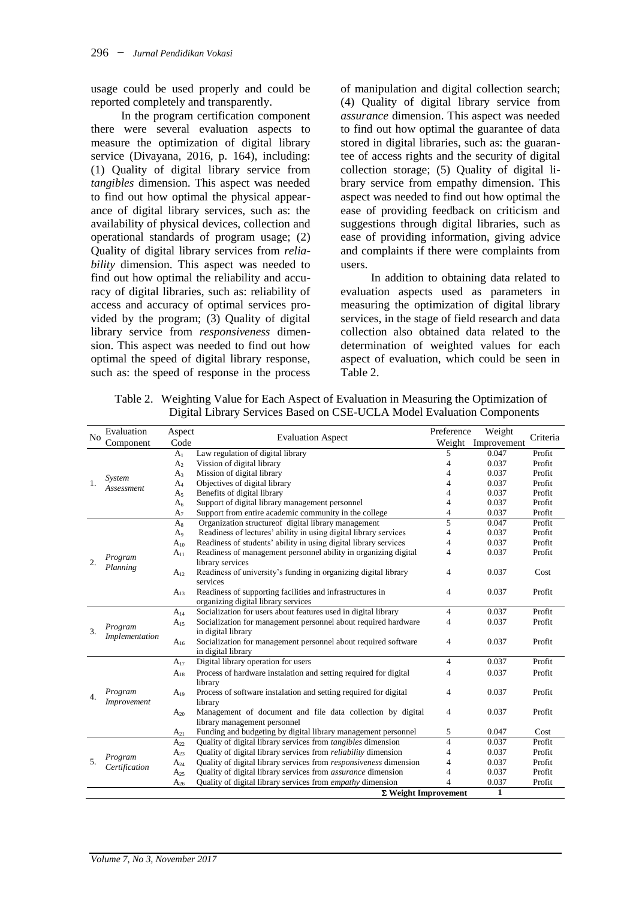usage could be used properly and could be reported completely and transparently.

In the program certification component there were several evaluation aspects to measure the optimization of digital library service (Divayana, 2016, p. 164), including: (1) Quality of digital library service from *tangibles* dimension. This aspect was needed to find out how optimal the physical appearance of digital library services, such as: the availability of physical devices, collection and operational standards of program usage; (2) Quality of digital library services from *reliability* dimension. This aspect was needed to find out how optimal the reliability and accuracy of digital libraries, such as: reliability of access and accuracy of optimal services provided by the program; (3) Quality of digital library service from *responsiveness* dimension. This aspect was needed to find out how optimal the speed of digital library response, such as: the speed of response in the process

of manipulation and digital collection search; (4) Quality of digital library service from *assurance* dimension. This aspect was needed to find out how optimal the guarantee of data stored in digital libraries, such as: the guarantee of access rights and the security of digital collection storage; (5) Quality of digital library service from empathy dimension. This aspect was needed to find out how optimal the ease of providing feedback on criticism and suggestions through digital libraries, such as ease of providing information, giving advice and complaints if there were complaints from users.

In addition to obtaining data related to evaluation aspects used as parameters in measuring the optimization of digital library services, in the stage of field research and data collection also obtained data related to the determination of weighted values for each aspect of evaluation, which could be seen in Table 2.

| N <sub>0</sub>   | Evaluation           | Aspect         |                                                                          | Preference     | Weight             | Criteria |
|------------------|----------------------|----------------|--------------------------------------------------------------------------|----------------|--------------------|----------|
|                  | Component            | Code           | <b>Evaluation Aspect</b>                                                 |                | Weight Improvement |          |
|                  |                      | A <sub>1</sub> | Law regulation of digital library                                        | 5              | 0.047              | Profit   |
|                  |                      | A <sub>2</sub> | Vission of digital library                                               | 4              | 0.037              | Profit   |
|                  |                      | $A_3$          | Mission of digital library                                               | 4              | 0.037              | Profit   |
| 1.               | System<br>Assessment | $A_4$          | Objectives of digital library                                            |                | 0.037              | Profit   |
|                  |                      | A <sub>5</sub> | Benefits of digital library                                              |                | 0.037              | Profit   |
|                  |                      | A <sub>6</sub> | Support of digital library management personnel                          | 4              | 0.037              | Profit   |
|                  |                      | $A_7$          | Support from entire academic community in the college                    | 4              | 0.037              | Profit   |
|                  |                      | $A_8$          | Organization structure of digital library management                     | 5              | 0.047              | Profit   |
|                  |                      | $A_9$          | Readiness of lectures' ability in using digital library services         | 4              | 0.037              | Profit   |
|                  |                      | $A_{10}$       | Readiness of students' ability in using digital library services         | 4              | 0.037              | Profit   |
|                  | Program              | $A_{11}$       | Readiness of management personnel ability in organizing digital          | 4              | 0.037              | Profit   |
| $\overline{2}$ . | Planning             |                | library services                                                         |                |                    |          |
|                  |                      | $A_{12}$       | Readiness of university's funding in organizing digital library          | 4              | 0.037              | Cost     |
|                  |                      |                | services                                                                 |                |                    |          |
|                  |                      | $A_{13}$       | Readiness of supporting facilities and infrastructures in                | $\overline{4}$ | 0.037              | Profit   |
|                  |                      |                | organizing digital library services                                      |                |                    |          |
|                  |                      | $A_{14}$       | Socialization for users about features used in digital library           | $\overline{4}$ | 0.037              | Profit   |
|                  | Program              | $A_{15}$       | Socialization for management personnel about required hardware           | $\overline{4}$ | 0.037              | Profit   |
| $\mathcal{E}$    | Implementation       |                | in digital library                                                       |                |                    |          |
|                  |                      | $A_{16}$       | Socialization for management personnel about required software           | 4              | 0.037              | Profit   |
|                  |                      |                | in digital library                                                       |                |                    |          |
|                  |                      | $A_{17}$       | Digital library operation for users                                      | 4              | 0.037              | Profit   |
|                  |                      | $\rm A_{18}$   | Process of hardware instalation and setting required for digital         | 4              | 0.037              | Profit   |
|                  |                      |                | library                                                                  |                |                    |          |
| 4.               | Program              | $A_{19}$       | Process of software instalation and setting required for digital         | $\overline{4}$ | 0.037              | Profit   |
|                  | Improvement          |                | library                                                                  |                |                    |          |
|                  |                      | $A_{20}$       | Management of document and file data collection by digital               | 4              | 0.037              | Profit   |
|                  |                      |                | library management personnel                                             |                |                    |          |
|                  |                      | $A_{21}$       | Funding and budgeting by digital library management personnel            | 5              | 0.047              | Cost     |
|                  |                      | $A_{22}$       | Quality of digital library services from <i>tangibles</i> dimension      | $\overline{4}$ | 0.037              | Profit   |
|                  | Program              | $A_{23}$       | Quality of digital library services from reliability dimension           | 4              | 0.037              | Profit   |
| 5.               | Certification        | $A_{24}$       | Quality of digital library services from <i>responsiveness</i> dimension | 4              | 0.037              | Profit   |
|                  |                      | $A_{25}$       | Quality of digital library services from <i>assurance</i> dimension      | 4              | 0.037              | Profit   |
|                  |                      | $A_{26}$       | Quality of digital library services from <i>empathy</i> dimension        |                | 0.037              | Profit   |
|                  |                      |                | $\Sigma$ Weight Improvement                                              |                | $\mathbf{1}$       |          |

Table 2. Weighting Value for Each Aspect of Evaluation in Measuring the Optimization of Digital Library Services Based on CSE-UCLA Model Evaluation Components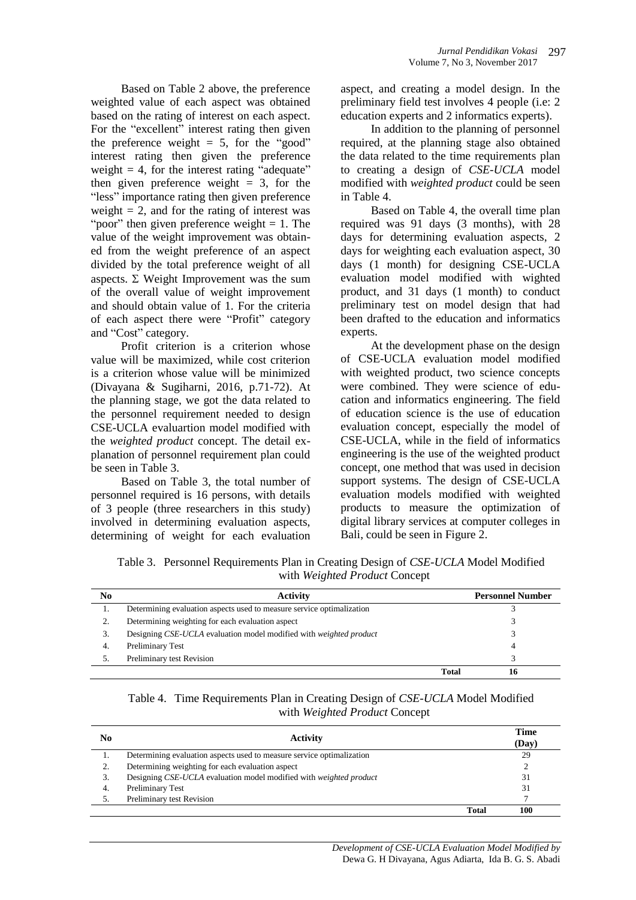Based on Table 2 above, the preference weighted value of each aspect was obtained based on the rating of interest on each aspect. For the "excellent" interest rating then given the preference weight  $= 5$ , for the "good" interest rating then given the preference weight  $= 4$ , for the interest rating "adequate" then given preference weight  $= 3$ , for the "less" importance rating then given preference weight  $= 2$ , and for the rating of interest was "poor" then given preference weight  $= 1$ . The value of the weight improvement was obtained from the weight preference of an aspect divided by the total preference weight of all aspects.  $\Sigma$  Weight Improvement was the sum of the overall value of weight improvement and should obtain value of 1. For the criteria of each aspect there were "Profit" category and "Cost" category.

Profit criterion is a criterion whose value will be maximized, while cost criterion is a criterion whose value will be minimized (Divayana & Sugiharni, 2016, p.71-72). At the planning stage, we got the data related to the personnel requirement needed to design CSE-UCLA evaluartion model modified with the *weighted product* concept. The detail explanation of personnel requirement plan could be seen in Table 3.

Based on Table 3, the total number of personnel required is 16 persons, with details of 3 people (three researchers in this study) involved in determining evaluation aspects, determining of weight for each evaluation

aspect, and creating a model design. In the preliminary field test involves 4 people (i.e: 2 education experts and 2 informatics experts).

In addition to the planning of personnel required, at the planning stage also obtained the data related to the time requirements plan to creating a design of *CSE-UCLA* model modified with *weighted product* could be seen in Table 4.

Based on Table 4, the overall time plan required was 91 days (3 months), with 28 days for determining evaluation aspects, 2 days for weighting each evaluation aspect, 30 days (1 month) for designing CSE-UCLA evaluation model modified with wighted product, and 31 days (1 month) to conduct preliminary test on model design that had been drafted to the education and informatics experts.

At the development phase on the design of CSE-UCLA evaluation model modified with weighted product, two science concepts were combined. They were science of education and informatics engineering. The field of education science is the use of education evaluation concept, especially the model of CSE-UCLA, while in the field of informatics engineering is the use of the weighted product concept, one method that was used in decision support systems. The design of CSE-UCLA evaluation models modified with weighted products to measure the optimization of digital library services at computer colleges in Bali, could be seen in Figure 2.

| Table 3. Personnel Requirements Plan in Creating Design of CSE-UCLA Model Modified |
|------------------------------------------------------------------------------------|
| with Weighted Product Concept                                                      |

| No | <b>Activity</b>                                                       |       | <b>Personnel Number</b> |
|----|-----------------------------------------------------------------------|-------|-------------------------|
| ı. | Determining evaluation aspects used to measure service optimalization |       |                         |
|    | Determining weighting for each evaluation aspect                      |       |                         |
| 3. | Designing CSE-UCLA evaluation model modified with weighted product    |       |                         |
| 4. | Preliminary Test                                                      |       |                         |
|    | Preliminary test Revision                                             |       |                         |
|    |                                                                       | Total |                         |

| Table 4. Time Requirements Plan in Creating Design of CSE-UCLA Model Modified |
|-------------------------------------------------------------------------------|
| with Weighted Product Concept                                                 |

| No | <b>Activity</b>                                                       |              | Time<br>(Day) |
|----|-----------------------------------------------------------------------|--------------|---------------|
|    | Determining evaluation aspects used to measure service optimalization |              | 29            |
|    | Determining weighting for each evaluation aspect                      |              |               |
|    | Designing CSE-UCLA evaluation model modified with weighted product    |              | 31            |
|    | Preliminary Test                                                      |              | 31            |
|    | Preliminary test Revision                                             |              |               |
|    |                                                                       | <b>Total</b> | 100           |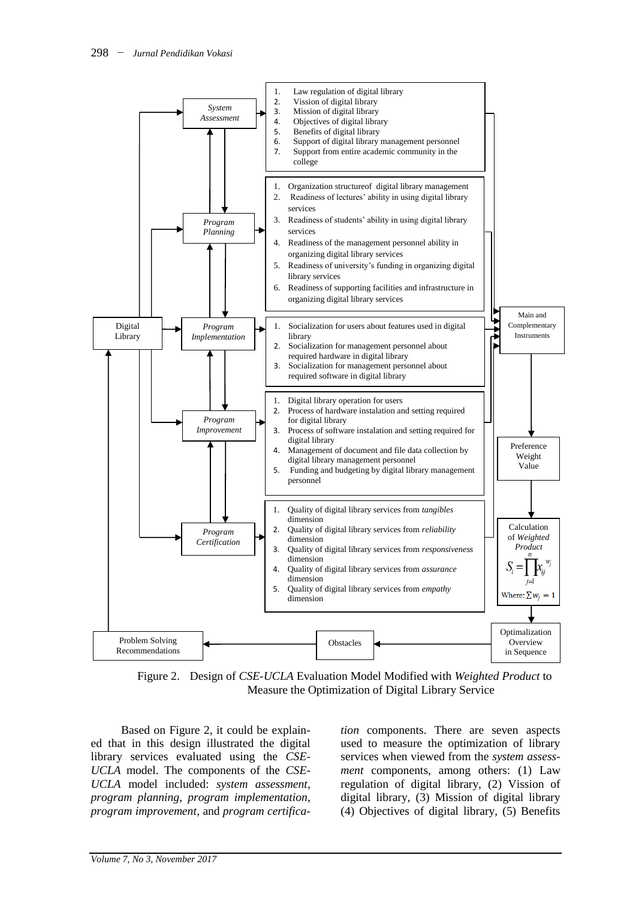

Figure 2. Design of *CSE-UCLA* Evaluation Model Modified with *Weighted Product* to Measure the Optimization of Digital Library Service

Based on Figure 2, it could be explained that in this design illustrated the digital library services evaluated using the *CSE-UCLA* model. The components of the *CSE-UCLA* model included: *system assessment*, *program planning*, *program implementation*, *program improvement*, and *program certifica-*

*tion* components. There are seven aspects used to measure the optimization of library services when viewed from the *system assessment* components, among others: (1) Law regulation of digital library, (2) Vission of digital library, (3) Mission of digital library (4) Objectives of digital library, (5) Benefits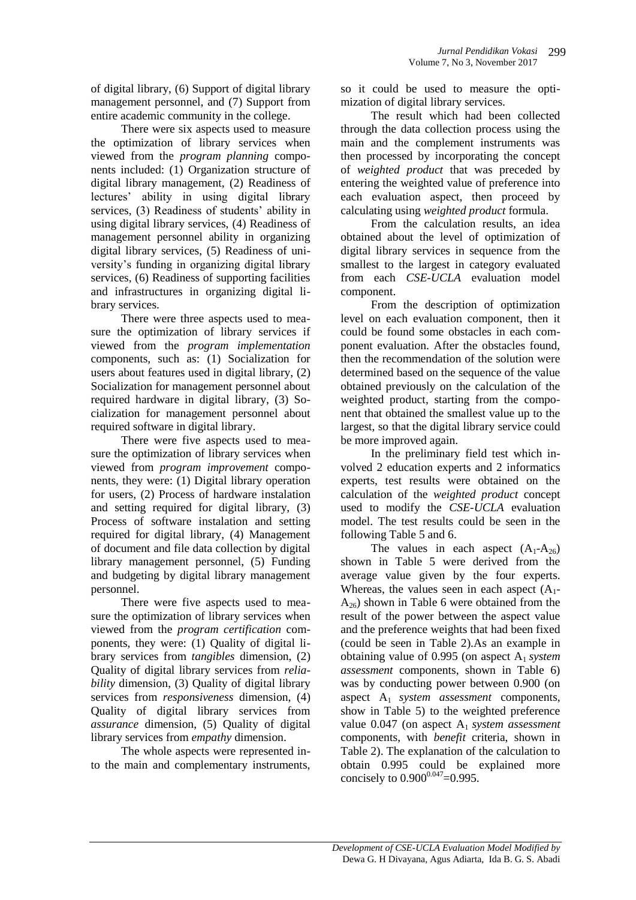of digital library, (6) Support of digital library management personnel, and (7) Support from entire academic community in the college.

There were six aspects used to measure the optimization of library services when viewed from the *program planning* components included: (1) Organization structure of digital library management, (2) Readiness of lectures' ability in using digital library services, (3) Readiness of students' ability in using digital library services, (4) Readiness of management personnel ability in organizing digital library services, (5) Readiness of university's funding in organizing digital library services, (6) Readiness of supporting facilities and infrastructures in organizing digital library services.

There were three aspects used to measure the optimization of library services if viewed from the *program implementation* components, such as: (1) Socialization for users about features used in digital library, (2) Socialization for management personnel about required hardware in digital library, (3) Socialization for management personnel about required software in digital library.

There were five aspects used to measure the optimization of library services when viewed from *program improvement* components, they were: (1) Digital library operation for users, (2) Process of hardware instalation and setting required for digital library, (3) Process of software instalation and setting required for digital library, (4) Management of document and file data collection by digital library management personnel, (5) Funding and budgeting by digital library management personnel.

There were five aspects used to measure the optimization of library services when viewed from the *program certification* components, they were: (1) Quality of digital library services from *tangibles* dimension, (2) Quality of digital library services from *reliability* dimension, (3) Quality of digital library services from *responsiveness* dimension, (4) Quality of digital library services from *assurance* dimension, (5) Quality of digital library services from *empathy* dimension.

The whole aspects were represented into the main and complementary instruments, so it could be used to measure the optimization of digital library services.

The result which had been collected through the data collection process using the main and the complement instruments was then processed by incorporating the concept of *weighted product* that was preceded by entering the weighted value of preference into each evaluation aspect, then proceed by calculating using *weighted product* formula.

From the calculation results, an idea obtained about the level of optimization of digital library services in sequence from the smallest to the largest in category evaluated from each *CSE-UCLA* evaluation model component.

From the description of optimization level on each evaluation component, then it could be found some obstacles in each component evaluation. After the obstacles found, then the recommendation of the solution were determined based on the sequence of the value obtained previously on the calculation of the weighted product, starting from the component that obtained the smallest value up to the largest, so that the digital library service could be more improved again.

In the preliminary field test which involved 2 education experts and 2 informatics experts, test results were obtained on the calculation of the *weighted product* concept used to modify the *CSE-UCLA* evaluation model. The test results could be seen in the following Table 5 and 6.

The values in each aspect  $(A_1-A_{26})$ shown in Table 5 were derived from the average value given by the four experts. Whereas, the values seen in each aspect  $(A_1$ - $A_{26}$ ) shown in Table 6 were obtained from the result of the power between the aspect value and the preference weights that had been fixed (could be seen in Table 2).As an example in obtaining value of 0.995 (on aspect A1 *system assessment* components, shown in Table 6) was by conducting power between 0.900 (on aspect A1 *system assessment* components, show in Table 5) to the weighted preference value 0.047 (on aspect A1 *system assessment* components, with *benefit* criteria, shown in Table 2). The explanation of the calculation to obtain 0.995 could be explained more concisely to  $0.900^{0.047}$ =0.995.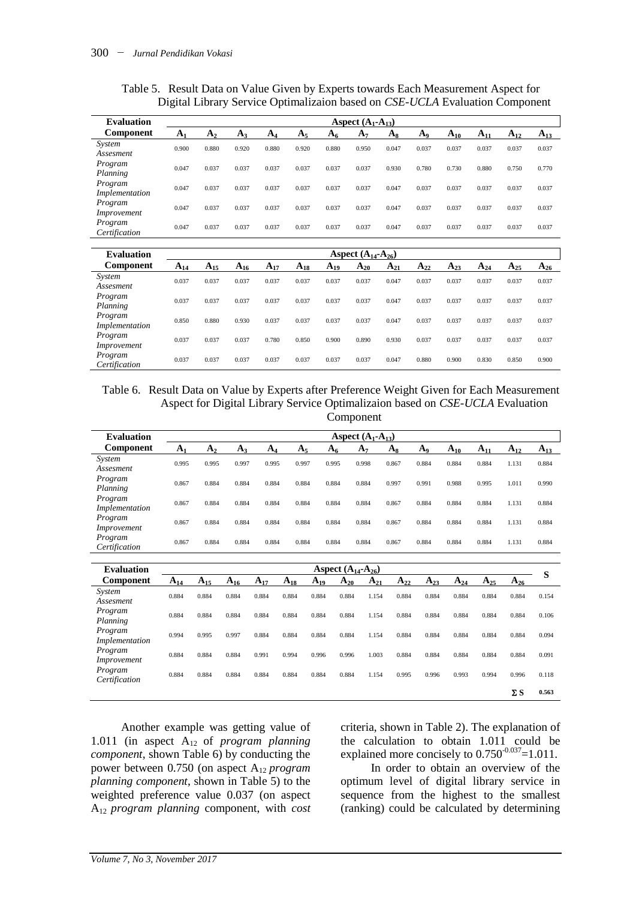| <b>Evaluation</b>         |          |          |          |          |             |          | Aspect $(A_1-A_{13})$    |          |          |          |          |          |          |
|---------------------------|----------|----------|----------|----------|-------------|----------|--------------------------|----------|----------|----------|----------|----------|----------|
| <b>Component</b>          | $A_{1}$  | $A_{2}$  | $A_3$    | $A_{4}$  | $A_{\rm S}$ | $A_{6}$  | A <sub>7</sub>           | $A_8$    | $A_9$    | $A_{10}$ | $A_{11}$ | $A_{12}$ | $A_{13}$ |
| System<br>Assesment       | 0.900    | 0.880    | 0.920    | 0.880    | 0.920       | 0.880    | 0.950                    | 0.047    | 0.037    | 0.037    | 0.037    | 0.037    | 0.037    |
| Program<br>Planning       | 0.047    | 0.037    | 0.037    | 0.037    | 0.037       | 0.037    | 0.037                    | 0.930    | 0.780    | 0.730    | 0.880    | 0.750    | 0.770    |
| Program<br>Implementation | 0.047    | 0.037    | 0.037    | 0.037    | 0.037       | 0.037    | 0.037                    | 0.047    | 0.037    | 0.037    | 0.037    | 0.037    | 0.037    |
| Program<br>Improvement    | 0.047    | 0.037    | 0.037    | 0.037    | 0.037       | 0.037    | 0.037                    | 0.047    | 0.037    | 0.037    | 0.037    | 0.037    | 0.037    |
| Program<br>Certification  | 0.047    | 0.037    | 0.037    | 0.037    | 0.037       | 0.037    | 0.037                    | 0.047    | 0.037    | 0.037    | 0.037    | 0.037    | 0.037    |
|                           |          |          |          |          |             |          |                          |          |          |          |          |          |          |
| <b>Evaluation</b>         |          |          |          |          |             |          | Aspect $(A_{14}-A_{26})$ |          |          |          |          |          |          |
| Component                 | $A_{14}$ | $A_{15}$ | $A_{16}$ | $A_{17}$ | $A_{18}$    | $A_{19}$ | $A_{20}$                 | $A_{21}$ | $A_{22}$ | $A_{23}$ | $A_{24}$ | $A_{25}$ | $A_{26}$ |
| System<br>Assesment       | 0.037    | 0.037    | 0.037    | 0.037    | 0.037       | 0.037    | 0.037                    | 0.047    | 0.037    | 0.037    | 0.037    | 0.037    | 0.037    |
| Program<br>Planning       | 0.037    | 0.037    | 0.037    | 0.037    | 0.037       | 0.037    | 0.037                    | 0.047    | 0.037    | 0.037    | 0.037    | 0.037    | 0.037    |
| Program<br>Implementation | 0.850    | 0.880    | 0.930    | 0.037    | 0.037       | 0.037    | 0.037                    | 0.047    | 0.037    | 0.037    | 0.037    | 0.037    | 0.037    |
| Program<br>Improvement    | 0.037    | 0.037    | 0.037    | 0.780    | 0.850       | 0.900    | 0.890                    | 0.930    | 0.037    | 0.037    | 0.037    | 0.037    | 0.037    |
| Program<br>Certification  | 0.037    | 0.037    | 0.037    | 0.037    | 0.037       | 0.037    | 0.037                    | 0.047    | 0.880    | 0.900    | 0.830    | 0.850    | 0.900    |

Table 5. Result Data on Value Given by Experts towards Each Measurement Aspect for Digital Library Service Optimalizaion based on *CSE-UCLA* Evaluation Component

Table 6. Result Data on Value by Experts after Preference Weight Given for Each Measurement Aspect for Digital Library Service Optimalizaion based on *CSE-UCLA* Evaluation Component

| <b>Evaluation</b> |                |       |       |       |       |       | Aspect $(A_1-A_{13})$ |       |       |          |          |          |          |
|-------------------|----------------|-------|-------|-------|-------|-------|-----------------------|-------|-------|----------|----------|----------|----------|
| <b>Component</b>  | A <sub>1</sub> | $A_2$ | $A_3$ | $A_4$ | $A_5$ | $A_6$ | A <sub>7</sub>        | $A_8$ | $A_9$ | $A_{10}$ | $A_{11}$ | $A_{12}$ | $A_{13}$ |
| System            |                | 0.995 | 0.997 | 0.995 | 0.997 | 0.995 | 0.998                 | 0.867 | 0.884 | 0.884    | 0.884    | 1.131    | 0.884    |
| Assesment         | 0.995          |       |       |       |       |       |                       |       |       |          |          |          |          |
| Program           | 0.867          | 0.884 | 0.884 | 0.884 | 0.884 | 0.884 | 0.884                 | 0.997 | 0.991 | 0.988    | 0.995    | 1.011    | 0.990    |
| Planning          |                |       |       |       |       |       |                       |       |       |          |          |          |          |
| Program           | 0.867          | 0.884 | 0.884 | 0.884 | 0.884 | 0.884 | 0.884                 | 0.867 | 0.884 | 0.884    | 0.884    | 1.131    | 0.884    |
| Implementation    |                |       |       |       |       |       |                       |       |       |          |          |          |          |
| Program           | 0.867          | 0.884 |       |       |       | 0.884 | 0.884                 | 0.867 | 0.884 | 0.884    |          |          | 0.884    |
| Improvement       |                |       | 0.884 | 0.884 | 0.884 |       |                       |       |       |          | 0.884    | 1.131    |          |
| Program           |                | 0.884 | 0.884 |       |       |       |                       |       |       |          |          |          |          |
| Certification     | 0.867          |       |       | 0.884 | 0.884 | 0.884 | 0.884                 | 0.867 | 0.884 | 0.884    | 0.884    | 1.131    | 0.884    |

| <b>Evaluation</b>         |          |          |          |          |          |          | <b>Aspect</b> $(A_{14}-A_{26})$ |          |          |          |          |          |            | S     |
|---------------------------|----------|----------|----------|----------|----------|----------|---------------------------------|----------|----------|----------|----------|----------|------------|-------|
| Component                 | $A_{14}$ | $A_{15}$ | $A_{16}$ | $A_{17}$ | $A_{18}$ | $A_{19}$ | $A_{20}$                        | $A_{21}$ | $A_{22}$ | $A_{23}$ | $A_{24}$ | $A_{25}$ | $A_{26}$   |       |
| System<br>Assesment       | 0.884    | 0.884    | 0.884    | 0.884    | 0.884    | 0.884    | 0.884                           | 1.154    | 0.884    | 0.884    | 0.884    | 0.884    | 0.884      | 0.154 |
| Program<br>Planning       | 0.884    | 0.884    | 0.884    | 0.884    | 0.884    | 0.884    | 0.884                           | 1.154    | 0.884    | 0.884    | 0.884    | 0.884    | 0.884      | 0.106 |
| Program<br>Implementation | 0.994    | 0.995    | 0.997    | 0.884    | 0.884    | 0.884    | 0.884                           | 1.154    | 0.884    | 0.884    | 0.884    | 0.884    | 0.884      | 0.094 |
| Program<br>Improvement    | 0.884    | 0.884    | 0.884    | 0.991    | 0.994    | 0.996    | 0.996                           | 1.003    | 0.884    | 0.884    | 0.884    | 0.884    | 0.884      | 0.091 |
| Program<br>Certification  | 0.884    | 0.884    | 0.884    | 0.884    | 0.884    | 0.884    | 0.884                           | 1.154    | 0.995    | 0.996    | 0.993    | 0.994    | 0.996      | 0.118 |
|                           |          |          |          |          |          |          |                                 |          |          |          |          |          | $\Sigma S$ | 0.563 |

Another example was getting value of 1.011 (in aspect A<sub>12</sub> of *program planning component*, shown Table 6) by conducting the power between 0.750 (on aspect A12 *program planning component*, shown in Table 5) to the weighted preference value 0.037 (on aspect A12 *program planning* component, with *cost*

criteria, shown in Table 2). The explanation of the calculation to obtain 1.011 could be explained more concisely to  $0.750^{\cdot 0.037}$  = 1.011.

In order to obtain an overview of the optimum level of digital library service in sequence from the highest to the smallest (ranking) could be calculated by determining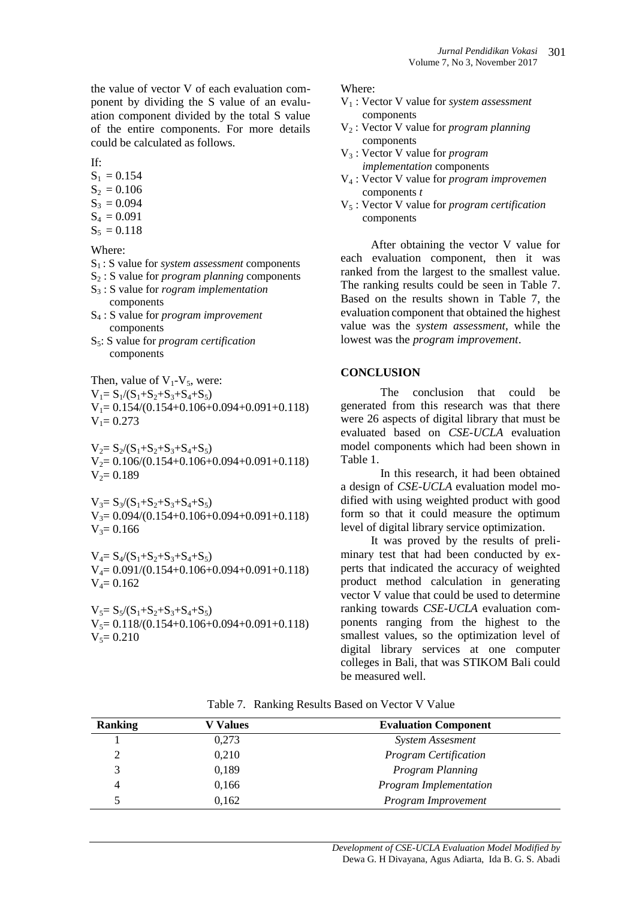the value of vector V of each evaluation component by dividing the S value of an evaluation component divided by the total S value of the entire components. For more details could be calculated as follows.

If:

 $S_1 = 0.154$ 

- $S_2 = 0.106$
- $S_3 = 0.094$
- $S_4 = 0.091$
- $S_5 = 0.118$

Where:

- S<sup>1</sup> : S value for *system assessment* components
- S<sup>2</sup> : S value for *program planning* components
- S<sup>3</sup> : S value for *rogram implementation* components
- S<sup>4</sup> : S value for *program improvement*  components
- S5: S value for *program certification*  components

Then, value of  $V_1$ - $V_5$ , were:  $V_1 = S_1/(S_1+S_2+S_3+S_4+S_5)$  $V_1 = 0.154/(0.154+0.106+0.094+0.091+0.118)$  $V_1 = 0.273$ 

 $V_2 = S_2/(S_1+S_2+S_3+S_4+S_5)$  $V_2= 0.106/(0.154+0.106+0.094+0.091+0.118)$  $V_2 = 0.189$ 

 $V_3 = S_3/(S_1+S_2+S_3+S_4+S_5)$  $V_3= 0.094/(0.154+0.106+0.094+0.091+0.118)$  $V_3 = 0.166$ 

 $V_4 = S_4/(S_1+S_2+S_3+S_4+S_5)$ V4= 0.091/(0.154+0.106+0.094+0.091+0.118)  $V_4 = 0.162$ 

 $V_5 = S_5/(S_1+S_2+S_3+S_4+S_5)$  $V_5 = 0.118/(0.154+0.106+0.094+0.091+0.118)$  $V_5 = 0.210$ 

Where:

- V<sup>1</sup> : Vector V value for *system assessment* components
- V<sup>2</sup> : Vector V value for *program planning* components
- V<sup>3</sup> : Vector V value for *program implementation* components
- V<sup>4</sup> : Vector V value for *program improvemen*  components *t*
- V<sup>5</sup> : Vector V value for *program certification*  components

After obtaining the vector V value for each evaluation component, then it was ranked from the largest to the smallest value. The ranking results could be seen in Table 7. Based on the results shown in Table 7, the evaluation component that obtained the highest value was the *system assessment*, while the lowest was the *program improvement*.

## **CONCLUSION**

The conclusion that could be generated from this research was that there were 26 aspects of digital library that must be evaluated based on *CSE-UCLA* evaluation model components which had been shown in Table 1.

In this research, it had been obtained a design of *CSE-UCLA* evaluation model modified with using weighted product with good form so that it could measure the optimum level of digital library service optimization.

It was proved by the results of preliminary test that had been conducted by experts that indicated the accuracy of weighted product method calculation in generating vector V value that could be used to determine ranking towards *CSE-UCLA* evaluation components ranging from the highest to the smallest values, so the optimization level of digital library services at one computer colleges in Bali, that was STIKOM Bali could be measured well.

| <b>Ranking</b> | V Values | <b>Evaluation Component</b>  |
|----------------|----------|------------------------------|
|                | 0,273    | <b>System Assesment</b>      |
|                | 0,210    | <b>Program Certification</b> |
| 3              | 0,189    | Program Planning             |
| 4              | 0,166    | Program Implementation       |
|                | 0,162    | Program Improvement          |

Table 7. Ranking Results Based on Vector V Value

*Development of CSE-UCLA Evaluation Model Modified by* Dewa G. H Divayana, Agus Adiarta, Ida B. G. S. Abadi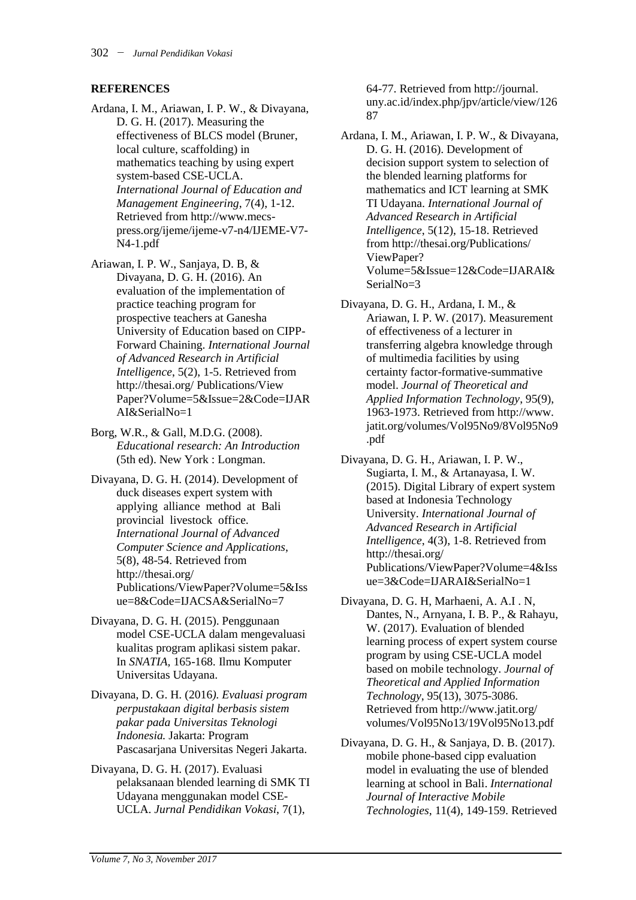## **REFERENCES**

- Ardana, I. M., Ariawan, I. P. W., & Divayana, D. G. H. (2017). Measuring the effectiveness of BLCS model (Bruner, local culture, scaffolding) in mathematics teaching by using expert system-based CSE-UCLA. *International Journal of Education and Management Engineering*, 7(4), 1-12. Retrieved from http://www.mecspress.org/ijeme/ijeme-v7-n4/IJEME-V7- N4-1.pdf
- Ariawan, I. P. W., Sanjaya, D. B, & Divayana, D. G. H. (2016). An evaluation of the implementation of practice teaching program for prospective teachers at Ganesha University of Education based on CIPP-Forward Chaining. *International Journal of Advanced Research in Artificial Intelligence*, 5(2), 1-5. Retrieved from http://thesai.org/ Publications/View Paper?Volume=5&Issue=2&Code=IJAR AI&SerialNo=1
- Borg, W.R., & Gall, M.D.G. (2008). *Educational research: An Introduction* (5th ed). New York : Longman.
- Divayana, D. G. H. (2014). Development of duck diseases expert system with applying alliance method at Bali provincial livestock office. *International Journal of Advanced Computer Science and Applications*, 5(8), 48-54. Retrieved from http://thesai.org/ Publications/ViewPaper?Volume=5&Iss ue=8&Code=IJACSA&SerialNo=7
- Divayana, D. G. H. (2015). Penggunaan model CSE-UCLA dalam mengevaluasi kualitas program aplikasi sistem pakar. In *SNATIA,* 165-168. Ilmu Komputer Universitas Udayana.
- Divayana, D. G. H. (2016*). Evaluasi program perpustakaan digital berbasis sistem pakar pada Universitas Teknologi Indonesia.* Jakarta: Program Pascasarjana Universitas Negeri Jakarta.
- Divayana, D. G. H. (2017). Evaluasi pelaksanaan blended learning di SMK TI Udayana menggunakan model CSE-UCLA. *Jurnal Pendidikan Vokasi*, 7(1),

64-77. Retrieved from http://journal. uny.ac.id/index.php/jpv/article/view/126 87

- Ardana, I. M., Ariawan, I. P. W., & Divayana, D. G. H. (2016). Development of decision support system to selection of the blended learning platforms for mathematics and ICT learning at SMK TI Udayana. *International Journal of Advanced Research in Artificial Intelligence*, 5(12), 15-18. Retrieved from http://thesai.org/Publications/ ViewPaper? Volume=5&Issue=12&Code=IJARAI& SerialNo=3
- Divayana, D. G. H., Ardana, I. M., & Ariawan, I. P. W. (2017). Measurement of effectiveness of a lecturer in transferring algebra knowledge through of multimedia facilities by using certainty factor-formative-summative model. *Journal of Theoretical and Applied Information Technology*, 95(9), 1963-1973. Retrieved from http://www. jatit.org/volumes/Vol95No9/8Vol95No9 .pdf
- Divayana, D. G. H., Ariawan, I. P. W., Sugiarta, I. M., & Artanayasa, I. W. (2015). Digital Library of expert system based at Indonesia Technology University. *International Journal of Advanced Research in Artificial Intelligence*, 4(3), 1-8. Retrieved from http://thesai.org/ Publications/ViewPaper?Volume=4&Iss ue=3&Code=IJARAI&SerialNo=1
- Divayana, D. G. H, Marhaeni, A. A.I . N, Dantes, N., Arnyana, I. B. P., & Rahayu, W. (2017). Evaluation of blended learning process of expert system course program by using CSE-UCLA model based on mobile technology. *Journal of Theoretical and Applied Information Technology*, 95(13), 3075-3086. Retrieved from <http://www.jatit.org/> volumes/Vol95No13/19Vol95No13.pdf
- Divayana, D. G. H., & Sanjaya, D. B. (2017). mobile phone-based cipp evaluation model in evaluating the use of blended learning at school in Bali. *International Journal of Interactive Mobile Technologies*, 11(4), 149-159. Retrieved